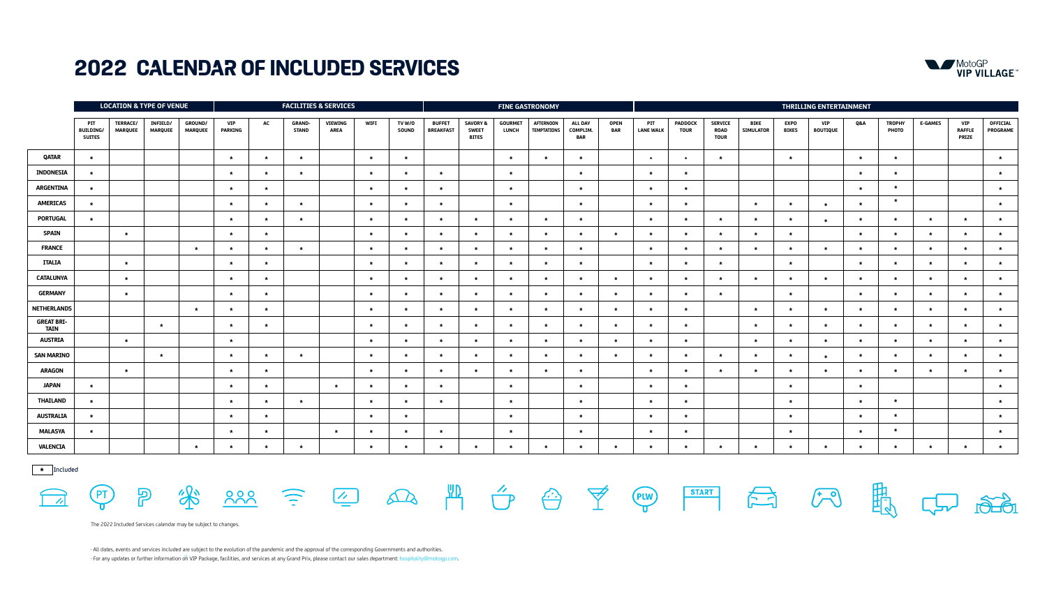## **2022 CALENDAR OF INCLUDED SERVICES**

|                                  | <b>LOCATION &amp; TYPE OF VENUE</b>      |                                   |                                   |                                  | <b>FACILITIES &amp; SERVICES</b> |         |                               |                        |             |                        | <b>FINE GASTRONOMY</b>            |                                                     |                                |                                        |                                          |                           | <b>THRILLING ENTERTAINMENT</b> |                               |                                              |                                 |                             |                        |         |                               |                |                                             |                             |
|----------------------------------|------------------------------------------|-----------------------------------|-----------------------------------|----------------------------------|----------------------------------|---------|-------------------------------|------------------------|-------------|------------------------|-----------------------------------|-----------------------------------------------------|--------------------------------|----------------------------------------|------------------------------------------|---------------------------|--------------------------------|-------------------------------|----------------------------------------------|---------------------------------|-----------------------------|------------------------|---------|-------------------------------|----------------|---------------------------------------------|-----------------------------|
|                                  | PIT<br><b>BUILDING/</b><br><b>SUITES</b> | <b>TERRACE/</b><br><b>MARQUEE</b> | <b>INFIELD/</b><br><b>MARQUEE</b> | <b>GROUND/</b><br><b>MARQUEE</b> | <b>VIP</b><br><b>PARKING</b>     | AC      | <b>GRAND-</b><br><b>STAND</b> | VIEWING<br><b>AREA</b> | <b>WIFI</b> | TV W/O<br><b>SOUND</b> | <b>BUFFET</b><br><b>BREAKFAST</b> | <b>SAVORY &amp;</b><br><b>SWEET</b><br><b>BITES</b> | <b>GOURMET</b><br><b>LUNCH</b> | <b>AFTERNOON</b><br><b>TEMPTATIONS</b> | <b>ALL DAY</b><br>COMPLIM.<br><b>BAR</b> | <b>OPEN</b><br><b>BAR</b> | <b>PIT</b><br><b>LANE WALK</b> | <b>PADDOCK</b><br><b>TOUR</b> | <b>SERVICE</b><br><b>ROAD</b><br><b>TOUR</b> | <b>BIKE</b><br><b>SIMULATOR</b> | <b>EXPO</b><br><b>BIKES</b> | VIP<br><b>BOUTIQUE</b> | Q&A     | <b>TROPHY</b><br><b>PHOTO</b> | <b>E-GAMES</b> | <b>VIP</b><br><b>RAFFLE</b><br><b>PRIZE</b> | <b>OFFICIAL</b><br>PROGRAME |
| <b>QATAR</b>                     | $\star$                                  |                                   |                                   |                                  | $\star$                          | $\star$ | $\star$                       |                        | $\star$     | $\star$                |                                   |                                                     | $\star$                        | $\star$                                | $\star$                                  |                           | $\star$                        | $\star$                       | $\star$                                      |                                 | $\star$                     |                        | $\star$ | $\star$                       |                |                                             | $\star$                     |
| <b>INDONESIA</b>                 | $\star$                                  |                                   |                                   |                                  | $\star$                          | $\star$ | $\star$                       |                        | $\star$     | $\star$                | $\star$                           |                                                     | $\star$                        |                                        | $\star$                                  |                           | $\star$                        | *                             |                                              |                                 |                             |                        | $\star$ | $\star$                       |                |                                             | $\star$                     |
| <b>ARGENTINA</b>                 | $\star$                                  |                                   |                                   |                                  | *                                | $\star$ |                               |                        | $\star$     | $\star$                | $\star$                           |                                                     | $\star$                        |                                        | $\star$                                  |                           | $\star$                        | *                             |                                              |                                 |                             |                        | $\star$ | *                             |                |                                             | $\star$                     |
| <b>AMERICAS</b>                  | $\star$                                  |                                   |                                   |                                  | $\star$                          | $\star$ | $\star$                       |                        | $\star$     | $\star$                | $\star$                           |                                                     | $\star$                        |                                        | $\star$                                  |                           | $\star$                        | 大                             |                                              | $\star$                         | $\star$                     | $\star$                | $\star$ | $\star$                       |                |                                             | $\star$                     |
| <b>PORTUGAL</b>                  | $\star$                                  |                                   |                                   |                                  | $\star$                          | $\star$ | $\star$                       |                        | $\star$     | $\star$                | $\star$                           | $\star$                                             | $\star$                        | $\star$                                | $\star$                                  |                           | $\star$                        | *                             | $\star$                                      | $\star$                         | $\star$                     | $\star$                | $\star$ | $\star$                       | $\star$        | $\star$                                     | $\star$                     |
| <b>SPAIN</b>                     |                                          | $\star$                           |                                   |                                  | $\star$                          | $\star$ |                               |                        | $\star$     | $\star$                | $\star$                           | $\star$                                             | $\star$                        | $\star$                                | $\star$                                  | $\star$                   | $\star$                        | *                             | $\star$                                      | $\star$                         | $\star$                     |                        | $\star$ | $\star$                       | $\star$        | $\star$                                     | $\star$                     |
| <b>FRANCE</b>                    |                                          |                                   |                                   | $\star$                          | *                                | $\star$ | $\star$                       |                        | $\star$     | $\star$                | $\star$                           | $\star$                                             | $\star$                        | $\star$                                | $\star$                                  |                           | $\star$                        | *                             | $\star$                                      | $\star$                         | $\star$                     | $\star$                | $\star$ | $\star$                       | $\star$        | $\star$                                     | $\star$                     |
| <b>ITALIA</b>                    |                                          | $\star$                           |                                   |                                  | $\star$                          | $\star$ |                               |                        | $\star$     | $\star$                | $\star$                           | $\star$                                             | *                              | $\star$                                | $\star$                                  |                           | $\star$                        |                               | $\star$                                      |                                 | $\star$                     |                        | $\star$ | *                             | $\star$        | $\star$                                     | $\star$                     |
| <b>CATALUNYA</b>                 |                                          | $\star$                           |                                   |                                  | $\star$                          | $\star$ |                               |                        | $\star$     | $\star$                | $\star$                           | $\star$                                             | $\star$                        | $\star$                                | $\star$                                  | $\star$                   | $\star$                        | $\star$                       | $\star$                                      | $\star$                         | $\star$                     | $\star$                | $\star$ | $\star$                       | $\star$        | $\star$                                     | $\star$                     |
| <b>GERMANY</b>                   |                                          | $\star$                           |                                   |                                  | $\star$                          | $\star$ |                               |                        | $\star$     | *                      | $\star$                           | $\star$                                             | *                              | $\star$                                | $\star$                                  | $\star$                   | $\star$                        | $\star$                       | $\star$                                      |                                 | $\star$                     |                        | $\star$ | *                             | $\star$        | $\star$                                     | $\star$                     |
| <b>NETHERLANDS</b>               |                                          |                                   |                                   | $\star$                          | $\star$                          | $\star$ |                               |                        | $\star$     | $\star$                | $\star$                           | $\star$                                             | $\star$                        | $\star$                                | $\star$                                  | $\star$                   | $\star$                        | $\star$                       |                                              | $\star$                         | $\star$                     | $\star$                | $\star$ | $\star$                       | $\star$        | $\star$                                     | $\star$                     |
| <b>GREAT BRI-</b><br><b>TAIN</b> |                                          |                                   | $\star$                           |                                  | $\star$                          | $\star$ |                               |                        | $\star$     | $\star$                | $\star$                           | $\star$                                             | $\star$                        | $\star$                                | $\star$                                  | $\star$                   | $\star$                        | $\star$                       |                                              | $\star$                         | $\star$                     | $\star$                | $\star$ | $\star$                       | $\star$        | $\star$                                     | $\star$                     |
| <b>AUSTRIA</b>                   |                                          | $\star$                           |                                   |                                  | $\star$                          |         |                               |                        | $\star$     | $\star$                | $\star$                           | $\star$                                             | $\star$                        | $\star$                                | $\star$                                  | $\star$                   | $\star$                        | $\star$                       |                                              | $\star$                         | $\star$                     | $\star$                | $\star$ | $\star$                       | $\star$        | $\star$                                     | $\star$                     |
| <b>SAN MARINO</b>                |                                          |                                   | $\star$                           |                                  | $\star$                          | $\star$ | $\star$                       |                        | $\star$     | $\star$                | $\star$                           | $\star$                                             | $\star$                        | $\star$                                | $\star$                                  | $\star$                   | $\star$                        | *                             | $\star$                                      | $\star$                         | $\star$                     | $\star$                | $\star$ | $\star$                       | $\star$        | $\star$                                     | $\star$                     |
| <b>ARAGON</b>                    |                                          | $\star$                           |                                   |                                  | *                                | $\star$ |                               |                        | $\star$     | $\star$                | $\star$                           | $\star$                                             | $\star$                        | $\star$                                | $\star$                                  |                           | $\star$                        | *                             | $\star$                                      | $\star$                         | $\star$                     | $\star$                | $\star$ | $\star$                       | $\star$        | $\star$                                     | $\star$                     |
| <b>JAPAN</b>                     | $\star$                                  |                                   |                                   |                                  | $\star$                          | $\star$ |                               | $\star$                | $\star$     | $\star$                | $\star$                           |                                                     | $\star$                        |                                        | $\star$                                  |                           | $\star$                        | *                             |                                              |                                 | $\star$                     |                        | $\star$ |                               |                |                                             | $\star$                     |
| <b>THAILAND</b>                  | $\star$                                  |                                   |                                   |                                  | $\star$                          | $\star$ | *                             |                        | $\star$     | $\star$                | $\star$                           |                                                     | $\star$                        |                                        | $\star$                                  |                           | $\star$                        | *                             |                                              |                                 | $\star$                     |                        | $\star$ | *                             |                |                                             | $\star$                     |
| <b>AUSTRALIA</b>                 | $\star$                                  |                                   |                                   |                                  | $\star$                          | $\star$ |                               |                        | $\star$     | $\star$                |                                   |                                                     | $\star$                        |                                        | $\star$                                  |                           | $\star$                        | $\star$                       |                                              |                                 | $\star$                     |                        | $\star$ | $\star$                       |                |                                             | $\star$                     |
| <b>MALASYA</b>                   | $\star$                                  |                                   |                                   |                                  | $\star$                          | $\star$ |                               | $\star$                | $\star$     | $\star$                | $\star$                           |                                                     | $\star$                        |                                        | $\star$                                  |                           | $\star$                        | $\star$                       |                                              |                                 | $\star$                     |                        | $\star$ | $\star$                       |                |                                             | $\star$                     |
| <b>VALENCIA</b>                  |                                          |                                   |                                   | $\star$                          | $\star$                          | $\star$ | $\star$                       |                        | $\star$     | $\star$                | $\star$                           | $\star$                                             | $\star$                        | $\star$                                | $\star$                                  | $\star$                   | $\star$                        | $\star$                       | $\star$                                      | $\star$                         | $\star$                     | $\star$                | $\star$ | $\star$                       | $\star$        | $\star$                                     | $\star$                     |

 $\star$  |Included















The 2022 Included Services calendar may be subject to changes.

· All dates, events and services included are subject to the evolution of the pandemic and the approval of the corresponding Governments and authorities.

· For any updates or further information on VIP Package, facilities, and services at any Grand Prix, please contact our sales department: hospitality@motogp.com.













**Property**